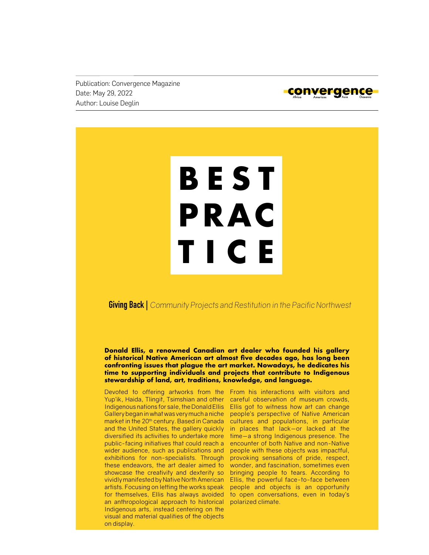Publication: Convergence Magazine Date: May 29, 2022 Author: Louise Deglin



## **BEST PRAC TICE**

**Giving Back |** *Community Projects and Restitution in the Pacific Northwest*

**Donald Ellis, a renowned Canadian art dealer who founded his gallery of historical Native American art almost five decades ago, has long been confronting issues that plague the art market. Nowadays, he dedicates his time to supporting individuals and projects that contribute to Indigenous stewardship of land, art, traditions, knowledge, and language.**

Devoted to offering artworks from the From his interactions with visitors and Gallery began in what was very much a niche market in the 20<sup>th</sup> century. Based in Canada diversified its activities to undertake more public-facing initiatives that could reach a wider audience, such as publications and exhibitions for non-specialists. Through these endeavors, the art dealer aimed to showcase the creativity and dexterity so vividly manifested by Native North American artists. Focusing on letting the works speak for themselves, Ellis has always avoided an anthropological approach to historical Indigenous arts, instead centering on the visual and material qualities of the objects on display.

Yup'ik, Haida, Tlingit, Tsimshian and other careful observation of museum crowds, Indigenous nations for sale, the Donald Ellis Ellis got to witness how art can change and the United States, the gallery quickly in places that lack—or lacked at the people's perspective of Native American cultures and populations, in particular time—a strong Indigenous presence. The encounter of both Native and non-Native people with these objects was impactful, provoking sensations of pride, respect, wonder, and fascination, sometimes even bringing people to tears. According to Ellis, the powerful face-to-face between people and objects is an opportunity to open conversations, even in today's polarized climate.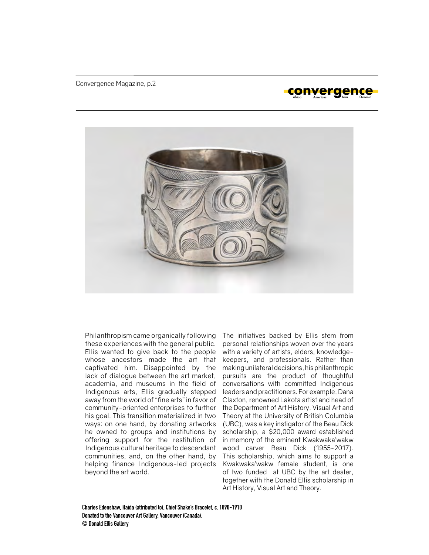## convergence



Philanthropism came organically following these experiences with the general public. Ellis wanted to give back to the people whose ancestors made the art that captivated him. Disappointed by the lack of dialogue between the art market, academia, and museums in the field of Indigenous arts, Ellis gradually stepped away from the world of "fine arts" in favor of community-oriented enterprises to further his goal. This transition materialized in two ways: on one hand, by donating artworks he owned to groups and institutions by offering support for the restitution of Indigenous cultural heritage to descendant communities, and, on the other hand, by helping finance Indigenous-led projects beyond the art world.

The initiatives backed by Ellis stem from personal relationships woven over the years with a variety of artists, elders, knowledgekeepers, and professionals. Rather than making unilateral decisions, his philanthropic pursuits are the product of thoughtful conversations with committed Indigenous leaders and practitioners. For example, Dana Claxton, renowned Lakota artist and head of the Department of Art History, Visual Art and Theory at the University of British Columbia (UBC), was a key instigator of the Beau Dick scholarship, a \$20,000 award established in memory of the eminent Kwakwaka'wakw wood carver Beau Dick (1955-2017). This scholarship, which aims to support a Kwakwaka'wakw female student, is one of two funded at UBC by the art dealer, together with the Donald Ellis scholarship in Art History, Visual Art and Theory.

**Charles Edenshaw, Haida (attributed to), Chief Shake's Bracelet, c. 1890-1910 Donated to the Vancouver Art Gallery, Vancouver (Canada). © Donald Ellis Gallery**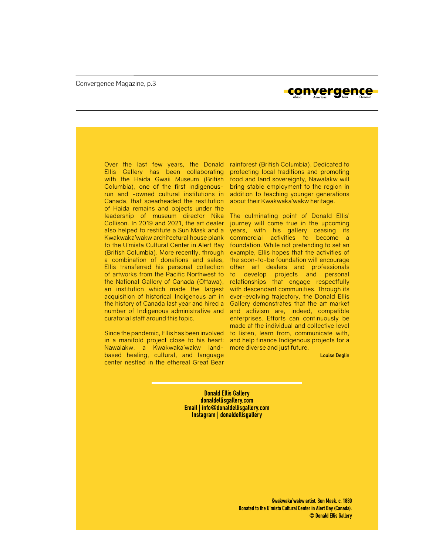## convergence

Over the last few years, the Donald Ellis Gallery has been collaborating with the Haida Gwaii Museum (British Columbia), one of the first Indigenousrun and -owned cultural institutions in Canada, that spearheaded the restitution of Haida remains and objects under the leadership of museum director Nika The culminating point of Donald Ellis' Collison. In 2019 and 2021, the art dealer journey will come true in the upcoming also helped to restitute a Sun Mask and a years, with his gallery ceasing its Kwakwaka'wakw architectural house plank to the U'mista Cultural Center in Alert Bay foundation. While not pretending to set an (British Columbia). More recently, through example, Ellis hopes that the activities of a combination of donations and sales, the soon-to-be foundation will encourage Ellis transferred his personal collection other art dealers and professionals of artworks from the Pacific Northwest to to develop projects and personal the National Gallery of Canada (Ottawa), an institution which made the largest acquisition of historical Indigenous art in the history of Canada last year and hired a number of Indigenous administrative and curatorial staff around this topic.

Since the pandemic, Ellis has been involved in a manifold project close to his heart: Nawalakw, a Kwakwaka'wakw landbased healing, cultural, and language center nestled in the ethereal Great Bear

rainforest (British Columbia). Dedicated to protecting local traditions and promoting food and land sovereignty, Nawalakw will bring stable employment to the region in addition to teaching younger generations about their Kwakwaka'wakw heritage.

commercial activities to become a relationships that engage respectfully with descendant communities. Through its ever-evolving trajectory, the Donald Ellis Gallery demonstrates that the art market and activism are, indeed, compatible enterprises. Efforts can continuously be made at the individual and collective level to listen, learn from, communicate with, and help finance Indigenous projects for a more diverse and just future.

**Louise Deglin**

**Donald Ellis Gallery donaldellisgallery.com Email | info@donaldellisgallery.com Instagram | donaldellisgallery**

> **Kwakwaka'wakw artist, Sun Mask, c. 1880 Donated to the U'mista Cultural Center in Alert Bay (Canada). © Donald Ellis Gallery**